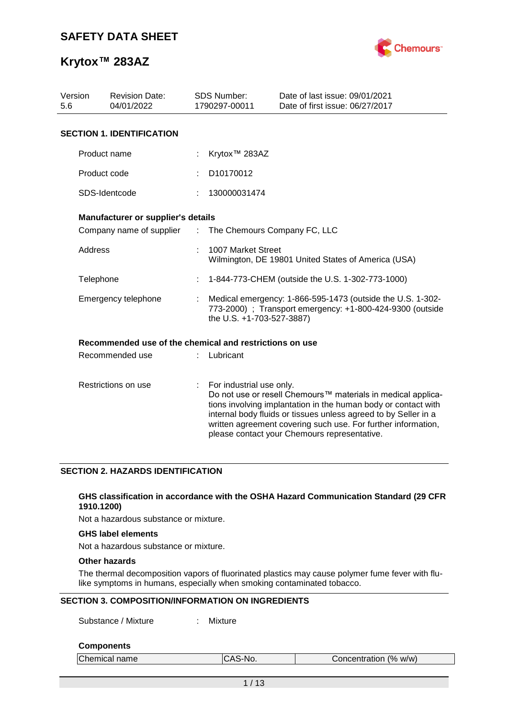

| Version<br><b>Revision Date:</b><br>04/01/2022<br>5.6 |                                                         |                       | <b>SDS Number:</b><br>1790297-00011 | Date of last issue: 09/01/2021<br>Date of first issue: 06/27/2017                                                                                                                                                                                                                                                  |
|-------------------------------------------------------|---------------------------------------------------------|-----------------------|-------------------------------------|--------------------------------------------------------------------------------------------------------------------------------------------------------------------------------------------------------------------------------------------------------------------------------------------------------------------|
|                                                       | <b>SECTION 1. IDENTIFICATION</b>                        |                       |                                     |                                                                                                                                                                                                                                                                                                                    |
|                                                       | Product name                                            |                       | Krytox <sup>™</sup> 283AZ           |                                                                                                                                                                                                                                                                                                                    |
|                                                       | Product code                                            |                       | D10170012                           |                                                                                                                                                                                                                                                                                                                    |
|                                                       | SDS-Identcode                                           |                       | 130000031474                        |                                                                                                                                                                                                                                                                                                                    |
|                                                       | Manufacturer or supplier's details                      |                       |                                     |                                                                                                                                                                                                                                                                                                                    |
|                                                       | Company name of supplier                                | $\mathbb{Z}^{\times}$ | The Chemours Company FC, LLC        |                                                                                                                                                                                                                                                                                                                    |
| Address                                               |                                                         |                       | 1007 Market Street                  | Wilmington, DE 19801 United States of America (USA)                                                                                                                                                                                                                                                                |
| Telephone                                             |                                                         |                       |                                     | 1-844-773-CHEM (outside the U.S. 1-302-773-1000)                                                                                                                                                                                                                                                                   |
|                                                       | Emergency telephone                                     |                       | the U.S. +1-703-527-3887)           | Medical emergency: 1-866-595-1473 (outside the U.S. 1-302-<br>773-2000) ; Transport emergency: +1-800-424-9300 (outside                                                                                                                                                                                            |
|                                                       | Recommended use of the chemical and restrictions on use |                       |                                     |                                                                                                                                                                                                                                                                                                                    |
|                                                       | Recommended use                                         |                       | Lubricant                           |                                                                                                                                                                                                                                                                                                                    |
|                                                       | Restrictions on use                                     | ÷                     | For industrial use only.            | Do not use or resell Chemours™ materials in medical applica-<br>tions involving implantation in the human body or contact with<br>internal body fluids or tissues unless agreed to by Seller in a<br>written agreement covering such use. For further information,<br>please contact your Chemours representative. |

### **SECTION 2. HAZARDS IDENTIFICATION**

#### **GHS classification in accordance with the OSHA Hazard Communication Standard (29 CFR 1910.1200)**

Not a hazardous substance or mixture.

### **GHS label elements**

Not a hazardous substance or mixture.

### **Other hazards**

The thermal decomposition vapors of fluorinated plastics may cause polymer fume fever with flulike symptoms in humans, especially when smoking contaminated tobacco.

### **SECTION 3. COMPOSITION/INFORMATION ON INGREDIENTS**

Substance / Mixture : Mixture

#### **Components**

| Chemical name | CAS-No. | Concentration (% w/w) |  |
|---------------|---------|-----------------------|--|
|               |         |                       |  |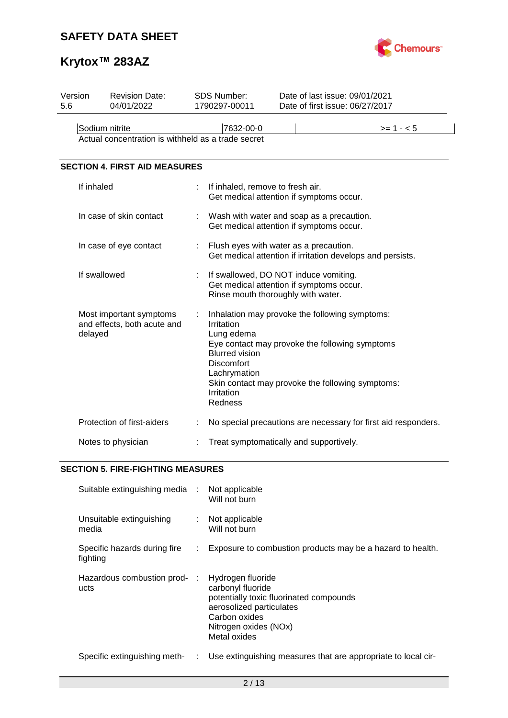

# **Krytox™ 283AZ**

| Version | <b>Revision Date:</b>                                             | SDS Number:                                                                                                          | Date of last issue: 09/01/2021                                                                                                                       |                                                                |
|---------|-------------------------------------------------------------------|----------------------------------------------------------------------------------------------------------------------|------------------------------------------------------------------------------------------------------------------------------------------------------|----------------------------------------------------------------|
| 5.6     | 04/01/2022                                                        | 1790297-00011                                                                                                        | Date of first issue: 06/27/2017                                                                                                                      |                                                                |
|         | Sodium nitrite                                                    | 7632-00-0                                                                                                            |                                                                                                                                                      | $>= 1 - 5$                                                     |
|         | Actual concentration is withheld as a trade secret                |                                                                                                                      |                                                                                                                                                      |                                                                |
|         | <b>SECTION 4. FIRST AID MEASURES</b>                              |                                                                                                                      |                                                                                                                                                      |                                                                |
|         | If inhaled                                                        |                                                                                                                      | If inhaled, remove to fresh air.<br>Get medical attention if symptoms occur.                                                                         |                                                                |
|         | In case of skin contact                                           |                                                                                                                      | Wash with water and soap as a precaution.<br>Get medical attention if symptoms occur.                                                                |                                                                |
|         | In case of eye contact                                            |                                                                                                                      | Flush eyes with water as a precaution.                                                                                                               | Get medical attention if irritation develops and persists.     |
|         | If swallowed                                                      |                                                                                                                      | If swallowed, DO NOT induce vomiting.<br>Get medical attention if symptoms occur.<br>Rinse mouth thoroughly with water.                              |                                                                |
|         | Most important symptoms<br>and effects, both acute and<br>delayed | t<br>Irritation<br>Lung edema<br><b>Blurred vision</b><br><b>Discomfort</b><br>Lachrymation<br>Irritation<br>Redness | Inhalation may provoke the following symptoms:<br>Eye contact may provoke the following symptoms<br>Skin contact may provoke the following symptoms: |                                                                |
|         | Protection of first-aiders                                        |                                                                                                                      |                                                                                                                                                      | No special precautions are necessary for first aid responders. |
|         | Notes to physician                                                |                                                                                                                      | Treat symptomatically and supportively.                                                                                                              |                                                                |

### **SECTION 5. FIRE-FIGHTING MEASURES**

| Suitable extinguishing media :           |    | Not applicable<br>Will not burn                                                                                                                                         |
|------------------------------------------|----|-------------------------------------------------------------------------------------------------------------------------------------------------------------------------|
| Unsuitable extinguishing<br>media        |    | Not applicable<br>Will not burn                                                                                                                                         |
| Specific hazards during fire<br>fighting | ÷. | Exposure to combustion products may be a hazard to health.                                                                                                              |
| Hazardous combustion prod- :<br>ucts     |    | Hydrogen fluoride<br>carbonyl fluoride<br>potentially toxic fluorinated compounds<br>aerosolized particulates<br>Carbon oxides<br>Nitrogen oxides (NOx)<br>Metal oxides |
| Specific extinguishing meth-             | ÷. | Use extinguishing measures that are appropriate to local cir-                                                                                                           |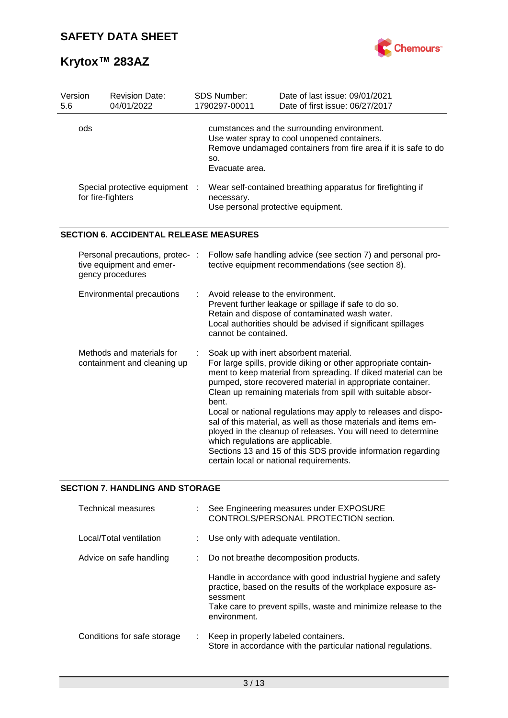

| Version<br>5.6                                                 | <b>Revision Date:</b><br>04/01/2022                                             |   | <b>SDS Number:</b><br>1790297-00011                                                                             | Date of last issue: 09/01/2021<br>Date of first issue: 06/27/2017                                                                                                                                                                                                                                                                                                                                                                                                                                                                                                                                                        |  |  |
|----------------------------------------------------------------|---------------------------------------------------------------------------------|---|-----------------------------------------------------------------------------------------------------------------|--------------------------------------------------------------------------------------------------------------------------------------------------------------------------------------------------------------------------------------------------------------------------------------------------------------------------------------------------------------------------------------------------------------------------------------------------------------------------------------------------------------------------------------------------------------------------------------------------------------------------|--|--|
|                                                                | ods                                                                             |   | SO.<br>Evacuate area.                                                                                           | cumstances and the surrounding environment.<br>Use water spray to cool unopened containers.<br>Remove undamaged containers from fire area if it is safe to do                                                                                                                                                                                                                                                                                                                                                                                                                                                            |  |  |
| Special protective equipment<br>$\cdot$ :<br>for fire-fighters |                                                                                 |   | Wear self-contained breathing apparatus for firefighting if<br>necessary.<br>Use personal protective equipment. |                                                                                                                                                                                                                                                                                                                                                                                                                                                                                                                                                                                                                          |  |  |
|                                                                | <b>SECTION 6. ACCIDENTAL RELEASE MEASURES</b>                                   |   |                                                                                                                 |                                                                                                                                                                                                                                                                                                                                                                                                                                                                                                                                                                                                                          |  |  |
|                                                                | Personal precautions, protec- :<br>tive equipment and emer-<br>gency procedures |   |                                                                                                                 | Follow safe handling advice (see section 7) and personal pro-<br>tective equipment recommendations (see section 8).                                                                                                                                                                                                                                                                                                                                                                                                                                                                                                      |  |  |
|                                                                | Environmental precautions                                                       |   | Avoid release to the environment.<br>cannot be contained.                                                       | Prevent further leakage or spillage if safe to do so.<br>Retain and dispose of contaminated wash water.<br>Local authorities should be advised if significant spillages                                                                                                                                                                                                                                                                                                                                                                                                                                                  |  |  |
|                                                                | Methods and materials for<br>containment and cleaning up                        | ÷ | bent.<br>which regulations are applicable.                                                                      | Soak up with inert absorbent material.<br>For large spills, provide diking or other appropriate contain-<br>ment to keep material from spreading. If diked material can be<br>pumped, store recovered material in appropriate container.<br>Clean up remaining materials from spill with suitable absor-<br>Local or national regulations may apply to releases and dispo-<br>sal of this material, as well as those materials and items em-<br>ployed in the cleanup of releases. You will need to determine<br>Sections 13 and 15 of this SDS provide information regarding<br>certain local or national requirements. |  |  |

### **SECTION 7. HANDLING AND STORAGE**

| Technical measures          |    | See Engineering measures under EXPOSURE<br>CONTROLS/PERSONAL PROTECTION section.                                                                                                                                           |
|-----------------------------|----|----------------------------------------------------------------------------------------------------------------------------------------------------------------------------------------------------------------------------|
| Local/Total ventilation     |    | Use only with adequate ventilation.                                                                                                                                                                                        |
| Advice on safe handling     | ÷. | Do not breathe decomposition products.                                                                                                                                                                                     |
|                             |    | Handle in accordance with good industrial hygiene and safety<br>practice, based on the results of the workplace exposure as-<br>sessment<br>Take care to prevent spills, waste and minimize release to the<br>environment. |
| Conditions for safe storage | ÷. | Keep in properly labeled containers.<br>Store in accordance with the particular national regulations.                                                                                                                      |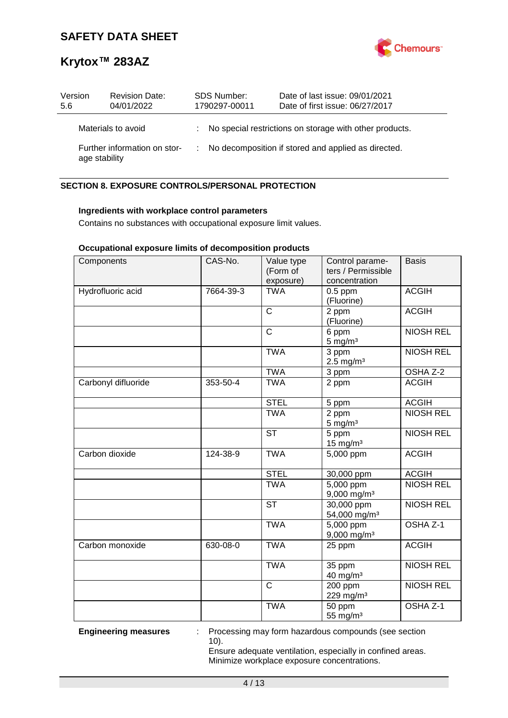

| Version<br>5.6 |                    | <b>Revision Date:</b><br>04/01/2022 | <b>SDS Number:</b><br>1790297-00011 | Date of last issue: 09/01/2021<br>Date of first issue: 06/27/2017 |
|----------------|--------------------|-------------------------------------|-------------------------------------|-------------------------------------------------------------------|
|                | Materials to avoid |                                     |                                     | : No special restrictions on storage with other products.         |
|                | age stability      | Further information on stor-        |                                     | : No decomposition if stored and applied as directed.             |

### **SECTION 8. EXPOSURE CONTROLS/PERSONAL PROTECTION**

### **Ingredients with workplace control parameters**

Contains no substances with occupational exposure limit values.

### **Occupational exposure limits of decomposition products**

| Components          | CAS-No.   | Value type<br>(Form of<br>exposure) | Control parame-<br>ters / Permissible<br>concentration | <b>Basis</b>        |
|---------------------|-----------|-------------------------------------|--------------------------------------------------------|---------------------|
| Hydrofluoric acid   | 7664-39-3 | <b>TWA</b>                          | $0.5$ ppm<br>(Fluorine)                                | <b>ACGIH</b>        |
|                     |           | $\mathsf{C}$                        | 2 ppm<br>(Fluorine)                                    | <b>ACGIH</b>        |
|                     |           | $\mathsf{C}$                        | 6 ppm<br>$5 \text{ mg/m}^3$                            | <b>NIOSH REL</b>    |
|                     |           | <b>TWA</b>                          | 3 ppm<br>$2.5 \text{ mg/m}^3$                          | <b>NIOSH REL</b>    |
|                     |           | <b>TWA</b>                          | 3 ppm                                                  | OSHA Z-2            |
| Carbonyl difluoride | 353-50-4  | <b>TWA</b>                          | 2 ppm                                                  | <b>ACGIH</b>        |
|                     |           | <b>STEL</b>                         | 5 ppm                                                  | <b>ACGIH</b>        |
|                     |           | <b>TWA</b>                          | 2 ppm<br>$5 \text{ mg/m}^3$                            | <b>NIOSH REL</b>    |
|                     |           | <b>ST</b>                           | $5$ ppm<br>$15$ mg/m <sup>3</sup>                      | <b>NIOSH REL</b>    |
| Carbon dioxide      | 124-38-9  | <b>TWA</b>                          | 5,000 ppm                                              | <b>ACGIH</b>        |
|                     |           | <b>STEL</b>                         | 30,000 ppm                                             | <b>ACGIH</b>        |
|                     |           | <b>TWA</b>                          | $5,000$ ppm<br>$9,000$ mg/m <sup>3</sup>               | <b>NIOSH REL</b>    |
|                     |           | <b>ST</b>                           | 30,000 ppm<br>54,000 mg/m <sup>3</sup>                 | <b>NIOSH REL</b>    |
|                     |           | <b>TWA</b>                          | 5,000 ppm<br>9,000 mg/m <sup>3</sup>                   | OSHA <sub>Z-1</sub> |
| Carbon monoxide     | 630-08-0  | <b>TWA</b>                          | 25 ppm                                                 | <b>ACGIH</b>        |
|                     |           | <b>TWA</b>                          | 35 ppm<br>40 mg/m <sup>3</sup>                         | <b>NIOSH REL</b>    |
|                     |           | $\overline{\text{c}}$               | 200 ppm<br>229 mg/m <sup>3</sup>                       | <b>NIOSH REL</b>    |
|                     |           | <b>TWA</b>                          | 50 ppm<br>55 mg/m <sup>3</sup>                         | OSHA Z-1            |

**Engineering measures** : Processing may form hazardous compounds (see section 10).

> Ensure adequate ventilation, especially in confined areas. Minimize workplace exposure concentrations.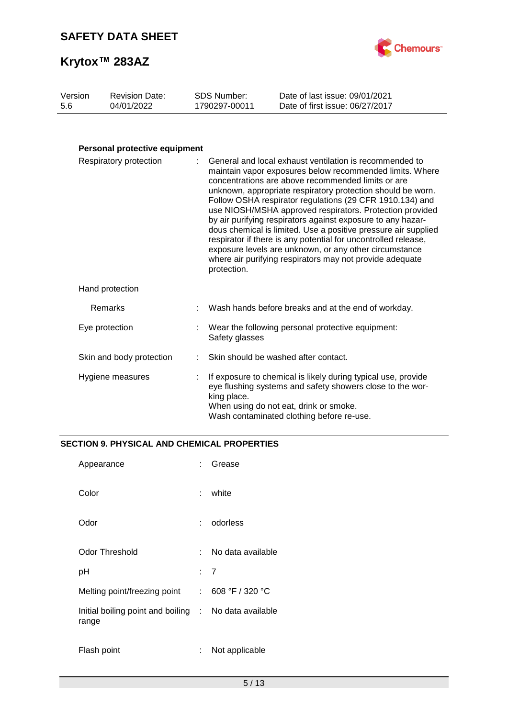



#### Version 5.6 Revision Date: 04/01/2022 SDS Number: 1790297-00011 Date of last issue: 09/01/2021 Date of first issue: 06/27/2017

### **Personal protective equipment**

| Respiratory protection   | : General and local exhaust ventilation is recommended to<br>maintain vapor exposures below recommended limits. Where<br>concentrations are above recommended limits or are<br>unknown, appropriate respiratory protection should be worn.<br>Follow OSHA respirator regulations (29 CFR 1910.134) and<br>use NIOSH/MSHA approved respirators. Protection provided<br>by air purifying respirators against exposure to any hazar-<br>dous chemical is limited. Use a positive pressure air supplied<br>respirator if there is any potential for uncontrolled release,<br>exposure levels are unknown, or any other circumstance<br>where air purifying respirators may not provide adequate<br>protection. |
|--------------------------|------------------------------------------------------------------------------------------------------------------------------------------------------------------------------------------------------------------------------------------------------------------------------------------------------------------------------------------------------------------------------------------------------------------------------------------------------------------------------------------------------------------------------------------------------------------------------------------------------------------------------------------------------------------------------------------------------------|
| Hand protection          |                                                                                                                                                                                                                                                                                                                                                                                                                                                                                                                                                                                                                                                                                                            |
| Remarks                  | Wash hands before breaks and at the end of workday.                                                                                                                                                                                                                                                                                                                                                                                                                                                                                                                                                                                                                                                        |
| Eye protection           | Wear the following personal protective equipment:<br>Safety glasses                                                                                                                                                                                                                                                                                                                                                                                                                                                                                                                                                                                                                                        |
| Skin and body protection | Skin should be washed after contact.                                                                                                                                                                                                                                                                                                                                                                                                                                                                                                                                                                                                                                                                       |
| Hygiene measures         | If exposure to chemical is likely during typical use, provide<br>eye flushing systems and safety showers close to the wor-<br>king place.<br>When using do not eat, drink or smoke.<br>Wash contaminated clothing before re-use.                                                                                                                                                                                                                                                                                                                                                                                                                                                                           |

### **SECTION 9. PHYSICAL AND CHEMICAL PROPERTIES**

| Appearance                                                     | × 1 | Grease            |
|----------------------------------------------------------------|-----|-------------------|
| Color                                                          | t.  | white             |
| Odor                                                           | t.  | odorless          |
| Odor Threshold                                                 | t.  | No data available |
| рH                                                             | : 7 |                   |
| Melting point/freezing point                                   |     | : 608 °F / 320 °C |
| Initial boiling point and boiling : No data available<br>range |     |                   |
| Flash point                                                    |     | Not applicable    |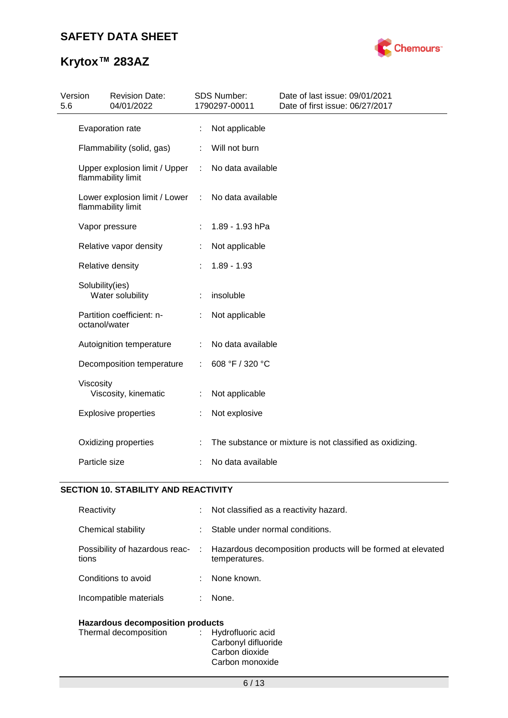## **Krytox™ 283AZ**



| Version<br>5.6 |                 | <b>Revision Date:</b><br>04/01/2022                 |   | SDS Number:<br>1790297-00011 | Date of last issue: 09/01/2021<br>Date of first issue: 06/27/2017 |
|----------------|-----------------|-----------------------------------------------------|---|------------------------------|-------------------------------------------------------------------|
|                |                 | Evaporation rate                                    |   | Not applicable               |                                                                   |
|                |                 | Flammability (solid, gas)                           |   | Will not burn                |                                                                   |
|                |                 | Upper explosion limit / Upper<br>flammability limit | ÷ | No data available            |                                                                   |
|                |                 | Lower explosion limit / Lower<br>flammability limit | ÷ | No data available            |                                                                   |
|                |                 | Vapor pressure                                      |   | 1.89 - 1.93 hPa              |                                                                   |
|                |                 | Relative vapor density                              |   | Not applicable               |                                                                   |
|                |                 | Relative density                                    |   | $1.89 - 1.93$                |                                                                   |
|                | Solubility(ies) | Water solubility                                    |   | insoluble                    |                                                                   |
|                | octanol/water   | Partition coefficient: n-                           |   | Not applicable               |                                                                   |
|                |                 | Autoignition temperature                            |   | No data available            |                                                                   |
|                |                 | Decomposition temperature                           |   | 608 °F / 320 °C              |                                                                   |
|                | Viscosity       | Viscosity, kinematic                                |   | Not applicable               |                                                                   |
|                |                 | <b>Explosive properties</b>                         |   | Not explosive                |                                                                   |
|                |                 | Oxidizing properties                                |   |                              | The substance or mixture is not classified as oxidizing.          |
|                | Particle size   |                                                     |   | No data available            |                                                                   |

### **SECTION 10. STABILITY AND REACTIVITY**

| Reactivity                              | t. | Not classified as a reactivity hazard.                                         |  |  |
|-----------------------------------------|----|--------------------------------------------------------------------------------|--|--|
| Chemical stability                      |    | Stable under normal conditions.                                                |  |  |
| Possibility of hazardous reac-<br>tions |    | : Hazardous decomposition products will be formed at elevated<br>temperatures. |  |  |
| Conditions to avoid                     |    | None known.                                                                    |  |  |
| Incompatible materials                  |    | None.                                                                          |  |  |
| <b>Hazardous decomposition products</b> |    |                                                                                |  |  |

| Thermal decomposition | : Hydrofluoric acid |
|-----------------------|---------------------|
|                       | Carbonyl difluoride |
|                       | Carbon dioxide      |
|                       | Carbon monoxide     |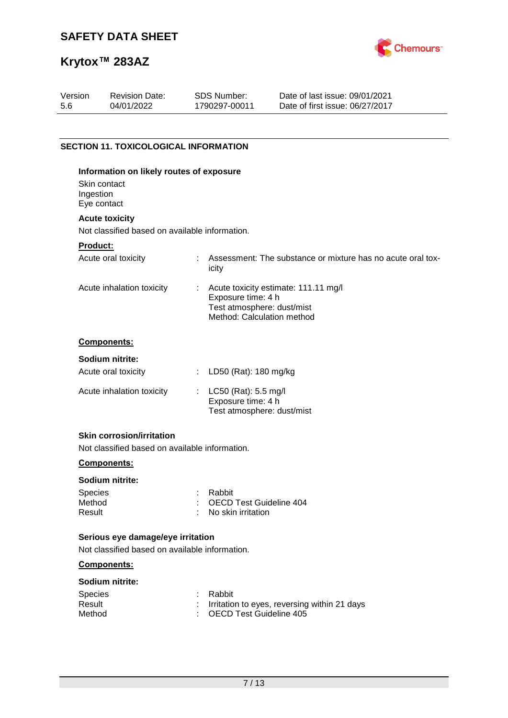

# **Krytox™ 283AZ**

| Version<br>5.6                     | <b>Revision Date:</b><br>04/01/2022                                     | <b>SDS Number:</b><br>1790297-00011                                            | Date of last issue: 09/01/2021<br>Date of first issue: 06/27/2017 |
|------------------------------------|-------------------------------------------------------------------------|--------------------------------------------------------------------------------|-------------------------------------------------------------------|
|                                    |                                                                         |                                                                                |                                                                   |
|                                    | <b>SECTION 11. TOXICOLOGICAL INFORMATION</b>                            |                                                                                |                                                                   |
| Ingestion                          | Information on likely routes of exposure<br>Skin contact<br>Eye contact |                                                                                |                                                                   |
|                                    | <b>Acute toxicity</b>                                                   |                                                                                |                                                                   |
|                                    | Not classified based on available information.                          |                                                                                |                                                                   |
| <b>Product:</b>                    |                                                                         |                                                                                |                                                                   |
|                                    | Acute oral toxicity                                                     | icity                                                                          | Assessment: The substance or mixture has no acute oral tox-       |
|                                    | Acute inhalation toxicity                                               | Exposure time: 4 h<br>Test atmosphere: dust/mist<br>Method: Calculation method | Acute toxicity estimate: 111.11 mg/l                              |
|                                    | Components:                                                             |                                                                                |                                                                   |
|                                    | Sodium nitrite:                                                         |                                                                                |                                                                   |
|                                    | Acute oral toxicity                                                     | LD50 (Rat): 180 mg/kg                                                          |                                                                   |
|                                    | Acute inhalation toxicity                                               | : LC50 (Rat): 5.5 mg/l<br>Exposure time: 4 h<br>Test atmosphere: dust/mist     |                                                                   |
|                                    | <b>Skin corrosion/irritation</b>                                        |                                                                                |                                                                   |
|                                    | Not classified based on available information.                          |                                                                                |                                                                   |
|                                    | Components:                                                             |                                                                                |                                                                   |
|                                    | Sodium nitrite:                                                         |                                                                                |                                                                   |
| <b>Species</b><br>Method<br>Result |                                                                         | Rabbit<br><b>OECD Test Guideline 404</b><br>No skin irritation                 |                                                                   |

### **Serious eye damage/eye irritation**

Not classified based on available information.

### **Components:**

| Sodium nitrite: |  |
|-----------------|--|
|                 |  |

| <b>Species</b> | : Rabbit                                       |
|----------------|------------------------------------------------|
| Result         | : Irritation to eyes, reversing within 21 days |
| Method         | : OECD Test Guideline 405                      |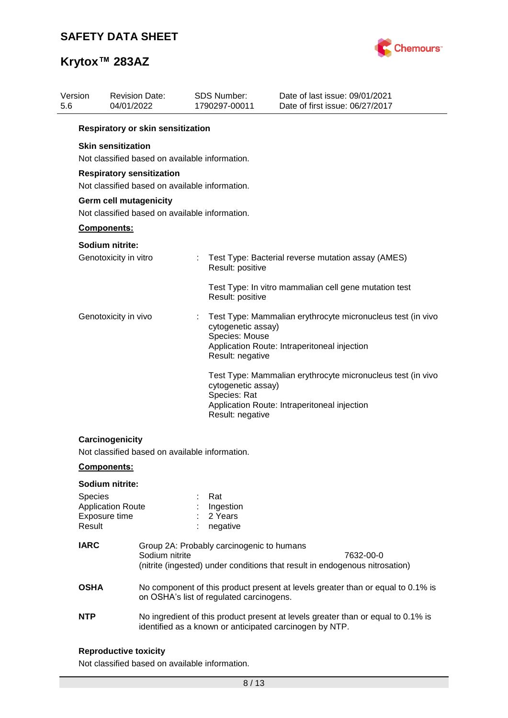

| Version<br>5.6 | 04/01/2022                                                                                                                                  | <b>Revision Date:</b>                                                                                                                                   | <b>SDS Number:</b><br>1790297-00011 |                                                          | Date of last issue: 09/01/2021<br>Date of first issue: 06/27/2017                                           |  |  |  |  |
|----------------|---------------------------------------------------------------------------------------------------------------------------------------------|---------------------------------------------------------------------------------------------------------------------------------------------------------|-------------------------------------|----------------------------------------------------------|-------------------------------------------------------------------------------------------------------------|--|--|--|--|
|                |                                                                                                                                             | Respiratory or skin sensitization                                                                                                                       |                                     |                                                          |                                                                                                             |  |  |  |  |
|                | <b>Skin sensitization</b><br>Not classified based on available information.                                                                 |                                                                                                                                                         |                                     |                                                          |                                                                                                             |  |  |  |  |
|                | <b>Respiratory sensitization</b><br>Not classified based on available information.                                                          |                                                                                                                                                         |                                     |                                                          |                                                                                                             |  |  |  |  |
|                | <b>Germ cell mutagenicity</b><br>Not classified based on available information.                                                             |                                                                                                                                                         |                                     |                                                          |                                                                                                             |  |  |  |  |
|                | Components:                                                                                                                                 |                                                                                                                                                         |                                     |                                                          |                                                                                                             |  |  |  |  |
|                | Sodium nitrite:                                                                                                                             |                                                                                                                                                         |                                     |                                                          |                                                                                                             |  |  |  |  |
|                | Genotoxicity in vitro                                                                                                                       |                                                                                                                                                         | ÷                                   | Result: positive                                         | Test Type: Bacterial reverse mutation assay (AMES)                                                          |  |  |  |  |
|                |                                                                                                                                             |                                                                                                                                                         |                                     | Result: positive                                         | Test Type: In vitro mammalian cell gene mutation test                                                       |  |  |  |  |
|                | Genotoxicity in vivo                                                                                                                        |                                                                                                                                                         |                                     | cytogenetic assay)<br>Species: Mouse<br>Result: negative | Test Type: Mammalian erythrocyte micronucleus test (in vivo<br>Application Route: Intraperitoneal injection |  |  |  |  |
|                |                                                                                                                                             |                                                                                                                                                         |                                     | cytogenetic assay)<br>Species: Rat<br>Result: negative   | Test Type: Mammalian erythrocyte micronucleus test (in vivo<br>Application Route: Intraperitoneal injection |  |  |  |  |
|                | Carcinogenicity<br>Not classified based on available information.                                                                           |                                                                                                                                                         |                                     |                                                          |                                                                                                             |  |  |  |  |
|                | Components:                                                                                                                                 |                                                                                                                                                         |                                     |                                                          |                                                                                                             |  |  |  |  |
|                | Sodium nitrite:<br><b>Species</b><br><b>Application Route</b><br>Exposure time<br>Result                                                    |                                                                                                                                                         |                                     | Rat<br>Ingestion<br>2 Years<br>negative                  |                                                                                                             |  |  |  |  |
|                | <b>IARC</b>                                                                                                                                 | Group 2A: Probably carcinogenic to humans<br>Sodium nitrite<br>7632-00-0<br>(nitrite (ingested) under conditions that result in endogenous nitrosation) |                                     |                                                          |                                                                                                             |  |  |  |  |
|                | <b>OSHA</b>                                                                                                                                 |                                                                                                                                                         |                                     | on OSHA's list of regulated carcinogens.                 | No component of this product present at levels greater than or equal to 0.1% is                             |  |  |  |  |
| <b>NTP</b>     | No ingredient of this product present at levels greater than or equal to 0.1% is<br>identified as a known or anticipated carcinogen by NTP. |                                                                                                                                                         |                                     |                                                          |                                                                                                             |  |  |  |  |

### **Reproductive toxicity**

Not classified based on available information.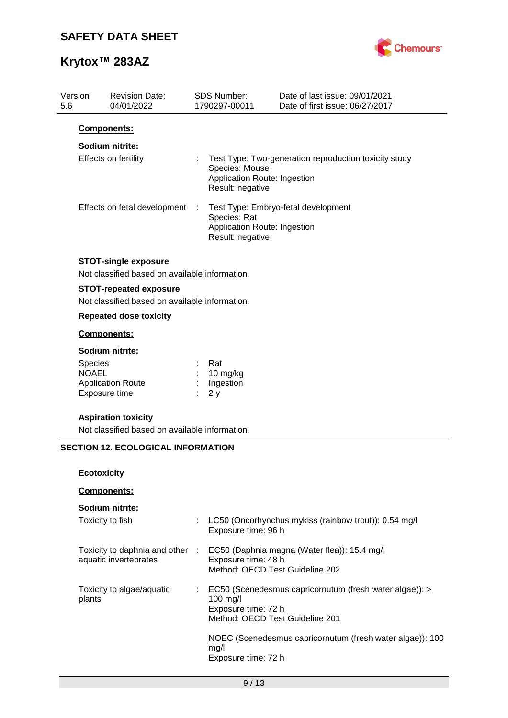Revision Date:



Date of last issue: 09/01/2021

## **Krytox™ 283AZ**

Version

| 5.6 | 04/01/2022                                                                              |                             | 1790297-00011                                                      | Date of first issue: 06/27/2017                           |
|-----|-----------------------------------------------------------------------------------------|-----------------------------|--------------------------------------------------------------------|-----------------------------------------------------------|
|     | Components:                                                                             |                             |                                                                    |                                                           |
|     | Sodium nitrite:                                                                         |                             |                                                                    |                                                           |
|     | Effects on fertility                                                                    |                             | Species: Mouse<br>Application Route: Ingestion<br>Result: negative | Test Type: Two-generation reproduction toxicity study     |
|     | Effects on fetal development                                                            | $\ddot{\ddot{\phantom{r}}}$ | Species: Rat<br>Application Route: Ingestion<br>Result: negative   | Test Type: Embryo-fetal development                       |
|     | <b>STOT-single exposure</b><br>Not classified based on available information.           |                             |                                                                    |                                                           |
|     | <b>STOT-repeated exposure</b><br>Not classified based on available information.         |                             |                                                                    |                                                           |
|     | <b>Repeated dose toxicity</b>                                                           |                             |                                                                    |                                                           |
|     | Components:                                                                             |                             |                                                                    |                                                           |
|     | Sodium nitrite:<br>Species<br><b>NOAEL</b><br><b>Application Route</b><br>Exposure time |                             | Rat<br>10 mg/kg<br>Ingestion<br>2y                                 |                                                           |
|     | <b>Aspiration toxicity</b><br>Not classified based on available information.            |                             |                                                                    |                                                           |
|     | <b>SECTION 12. ECOLOGICAL INFORMATION</b>                                               |                             |                                                                    |                                                           |
|     | <b>Ecotoxicity</b>                                                                      |                             |                                                                    |                                                           |
|     | Components:                                                                             |                             |                                                                    |                                                           |
|     | Sodium nitrite:                                                                         |                             |                                                                    |                                                           |
|     | Toxicity to fish                                                                        |                             | Exposure time: 96 h                                                | LC50 (Oncorhynchus mykiss (rainbow trout)): 0.54 mg/l     |
|     | Toxicity to daphnia and other :<br>aquatic invertebrates                                |                             | Exposure time: 48 h<br>Method: OECD Test Guideline 202             | EC50 (Daphnia magna (Water flea)): 15.4 mg/l              |
|     | Toxicity to algae/aquatic<br>plants                                                     |                             | 100 mg/l<br>Exposure time: 72 h<br>Method: OECD Test Guideline 201 | EC50 (Scenedesmus capricornutum (fresh water algae)): >   |
|     |                                                                                         |                             | mg/l<br>Exposure time: 72 h                                        | NOEC (Scenedesmus capricornutum (fresh water algae)): 100 |

SDS Number: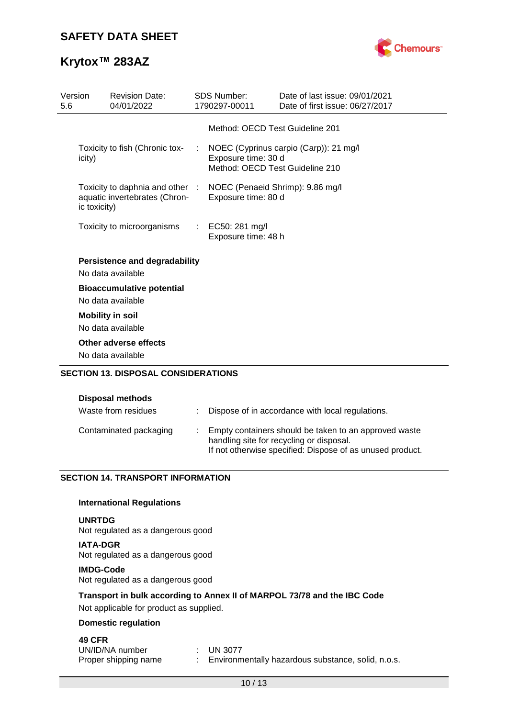

| Version<br>5.6 |              | <b>Revision Date:</b><br>04/01/2022                              |   | <b>SDS Number:</b><br>1790297-00011                     | Date of last issue: 09/01/2021<br>Date of first issue: 06/27/2017 |
|----------------|--------------|------------------------------------------------------------------|---|---------------------------------------------------------|-------------------------------------------------------------------|
|                |              |                                                                  |   | Method: OECD Test Guideline 201                         |                                                                   |
|                | icity)       | Toxicity to fish (Chronic tox-                                   |   | Exposure time: 30 d<br>Method: OECD Test Guideline 210  | NOEC (Cyprinus carpio (Carp)): 21 mg/l                            |
|                | ic toxicity) | Toxicity to daphnia and other :<br>aquatic invertebrates (Chron- |   | NOEC (Penaeid Shrimp): 9.86 mg/l<br>Exposure time: 80 d |                                                                   |
|                |              | Toxicity to microorganisms                                       | ÷ | EC50: 281 mg/l<br>Exposure time: 48 h                   |                                                                   |
|                |              | <b>Persistence and degradability</b><br>No data available        |   |                                                         |                                                                   |
|                |              | <b>Bioaccumulative potential</b><br>No data available            |   |                                                         |                                                                   |
|                |              | <b>Mobility in soil</b>                                          |   |                                                         |                                                                   |
|                |              | No data available                                                |   |                                                         |                                                                   |
|                |              | Other adverse effects                                            |   |                                                         |                                                                   |
|                |              | No data available<br><b>SECTION 13. DISPOSAL CONSIDERATIONS</b>  |   |                                                         |                                                                   |
|                |              |                                                                  |   |                                                         |                                                                   |

| Waste from residues    | : Dispose of in accordance with local regulations.                                                                                                             |
|------------------------|----------------------------------------------------------------------------------------------------------------------------------------------------------------|
| Contaminated packaging | Empty containers should be taken to an approved waste<br>handling site for recycling or disposal.<br>If not otherwise specified: Dispose of as unused product. |

### **SECTION 14. TRANSPORT INFORMATION**

### **International Regulations**

#### **UNRTDG**

Not regulated as a dangerous good

**IATA-DGR** Not regulated as a dangerous good

#### **IMDG-Code**

Not regulated as a dangerous good

### **Transport in bulk according to Annex II of MARPOL 73/78 and the IBC Code**

Not applicable for product as supplied.

### **Domestic regulation**

### **49 CFR**

| UN/ID/NA number      | $\pm$ UN 3077                                      |
|----------------------|----------------------------------------------------|
| Proper shipping name | Environmentally hazardous substance, solid, n.o.s. |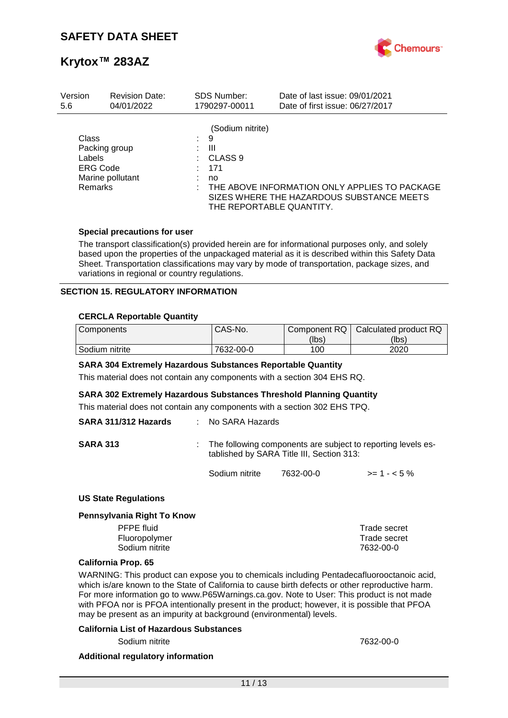

| Version                                              | <b>Revision Date:</b>             | <b>SDS Number:</b>                                                                        | Date of last issue: 09/01/2021                                                             |
|------------------------------------------------------|-----------------------------------|-------------------------------------------------------------------------------------------|--------------------------------------------------------------------------------------------|
| 5.6                                                  | 04/01/2022                        | 1790297-00011                                                                             | Date of first issue: 06/27/2017                                                            |
| Class<br>Labels<br><b>ERG Code</b><br><b>Remarks</b> | Packing group<br>Marine pollutant | (Sodium nitrite)<br>9<br>Ш<br>CLASS <sub>9</sub><br>171<br>no<br>THE REPORTABLE QUANTITY. | THE ABOVE INFORMATION ONLY APPLIES TO PACKAGE<br>SIZES WHERE THE HAZARDOUS SUBSTANCE MEETS |

### **Special precautions for user**

The transport classification(s) provided herein are for informational purposes only, and solely based upon the properties of the unpackaged material as it is described within this Safety Data Sheet. Transportation classifications may vary by mode of transportation, package sizes, and variations in regional or country regulations.

### **SECTION 15. REGULATORY INFORMATION**

### **CERCLA Reportable Quantity**

| Components     | CAS-No.   | Component RQ | Calculated product RQ |
|----------------|-----------|--------------|-----------------------|
|                |           | (lbs)        | (lbs)                 |
| Sodium nitrite | 7632-00-0 | 100          | 2020                  |

#### **SARA 304 Extremely Hazardous Substances Reportable Quantity**

This material does not contain any components with a section 304 EHS RQ.

#### **SARA 302 Extremely Hazardous Substances Threshold Planning Quantity**

This material does not contain any components with a section 302 EHS TPQ.

| SARA 311/312 Hazards | : No SARA Hazards                                                                                           |           |              |
|----------------------|-------------------------------------------------------------------------------------------------------------|-----------|--------------|
| <b>SARA 313</b>      | : The following components are subject to reporting levels es-<br>tablished by SARA Title III, Section 313: |           |              |
|                      | Sodium nitrite                                                                                              | 7632-00-0 | $>= 1 - 5\%$ |

#### **US State Regulations**

#### **Pennsylvania Right To Know**

| Trade secret |
|--------------|
| Trade secret |
| 7632-00-0    |
|              |

#### **California Prop. 65**

WARNING: This product can expose you to chemicals including Pentadecafluorooctanoic acid, which is/are known to the State of California to cause birth defects or other reproductive harm. For more information go to www.P65Warnings.ca.gov. Note to User: This product is not made with PFOA nor is PFOA intentionally present in the product; however, it is possible that PFOA may be present as an impurity at background (environmental) levels.

#### **California List of Hazardous Substances**

Sodium nitrite 7632-00-0

#### **Additional regulatory information**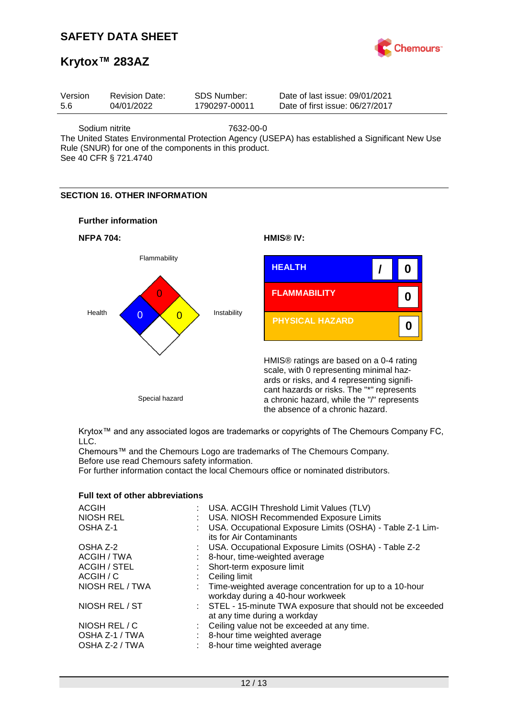

### **Krytox™ 283AZ**

| Version | <b>Revision Date:</b> | SDS Number:   | Date of last issue: 09/01/2021  |
|---------|-----------------------|---------------|---------------------------------|
| 5.6     | 04/01/2022            | 1790297-00011 | Date of first issue: 06/27/2017 |
|         |                       |               |                                 |

Sodium nitrite 7632-00-0

The United States Environmental Protection Agency (USEPA) has established a Significant New Use Rule (SNUR) for one of the components in this product.

See 40 CFR § 721.4740

### **SECTION 16. OTHER INFORMATION**





Krytox™ and any associated logos are trademarks or copyrights of The Chemours Company FC, LLC.

Chemours™ and the Chemours Logo are trademarks of The Chemours Company. Before use read Chemours safety information.

For further information contact the local Chemours office or nominated distributors.

| <b>ACGIH</b>                                      | : USA. ACGIH Threshold Limit Values (TLV)                                                                    |
|---------------------------------------------------|--------------------------------------------------------------------------------------------------------------|
| <b>NIOSH REL</b>                                  | : USA. NIOSH Recommended Exposure Limits                                                                     |
| OSHA Z-1                                          | : USA. Occupational Exposure Limits (OSHA) - Table Z-1 Lim-<br>its for Air Contaminants                      |
| OSHA Z-2                                          | : USA. Occupational Exposure Limits (OSHA) - Table Z-2                                                       |
| ACGIH / TWA                                       | : 8-hour, time-weighted average                                                                              |
| <b>ACGIH / STEL</b>                               | : Short-term exposure limit                                                                                  |
| ACGIH / C                                         | $\therefore$ Ceiling limit                                                                                   |
| NIOSH REL / TWA                                   | : Time-weighted average concentration for up to a 10-hour<br>workday during a 40-hour workweek               |
| NIOSH REL / ST                                    | : STEL - 15-minute TWA exposure that should not be exceeded<br>at any time during a workday                  |
| NIOSH REL / C<br>OSHA Z-1 / TWA<br>OSHA Z-2 / TWA | : Ceiling value not be exceeded at any time.<br>8-hour time weighted average<br>8-hour time weighted average |